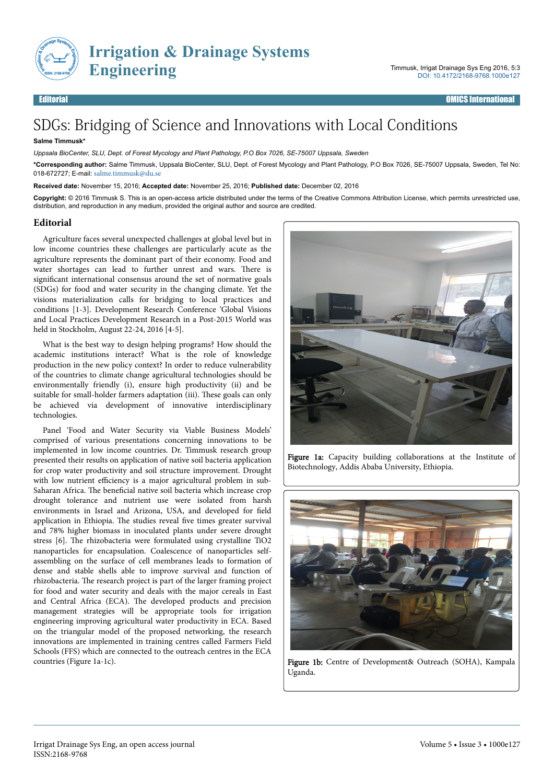

# SDGs: Bridging of Science and Innovations with Local Conditions

#### **Salme Timmusk\***

*Uppsala BioCenter, SLU, Dept. of Forest Mycology and Plant Pathology, P.O Box 7026, SE-75007 Uppsala, Sweden*

**\*Corresponding author:** Salme Timmusk, Uppsala BioCenter, SLU, Dept. of Forest Mycology and Plant Pathology, P.O Box 7026, SE-75007 Uppsala, Sweden, Tel No: 018-672727; E-mail: [salme.timmusk@slu.se](mailto:salme.timmusk@slu.se)

**Received date:** November 15, 2016; **Accepted date:** November 25, 2016; **Published date:** December 02, 2016

**Copyright:** © 2016 Timmusk S. This is an open-access article distributed under the terms of the Creative Commons Attribution License, which permits unrestricted use, distribution, and reproduction in any medium, provided the original author and source are credited.

### **Editorial**

Agriculture faces several unexpected challenges at global level but in low income countries these challenges are particularly acute as the agriculture represents the dominant part of their economy. Food and water shortages can lead to further unrest and wars. Нere is significant international consensus around the set of normative goals (SDGs) for food and water security in the changing climate. Yet the visions materialization calls for bridging to local practices and conditions [1-3]. Development Research Conference 'Global Visions and Local Practices Development Research in a Post-2015 World was held in Stockholm, August 22-24, 2016 [4-5].

What is the best way to design helping programs? How should the academic institutions interact? What is the role of knowledge production in the new policy context? In order to reduce vulnerability of the countries to climate change agricultural technologies should be environmentally friendly (i), ensure high productivity (ii) and be suitable for small-holder farmers adaptation (iii). Нese goals can only be achieved via development of innovative interdisciplinary technologies.

Panel 'Food and Water Security via Viable Business Models' comprised of various presentations concerning innovations to be implemented in low income countries. Dr. Timmusk research group presented their results on application of native soil bacteria application for crop water productivity and soil structure improvement. Drought with low nutrient efficiency is a major agricultural problem in sub-Saharan Africa. The beneficial native soil bacteria which increase crop drought tolerance and nutrient use were isolated from harsh environments in Israel and Arizona, USA, and developed for field application in Ethiopia. The studies reveal five times greater survival and 78% higher biomass in inoculated plants under severe drought stress [6]. Нe rhizobacteria were formulated using crystalline TiO2 nanoparticles for encapsulation. Coalescence of nanoparticles selfassembling on the surface of cell membranes leads to formation of dense and stable shells able to improve survival and function of rhizobacteria. Нe research project is part of the larger framing project for food and water security and deals with the major cereals in East and Central Africa (ECA). Нe developed products and precision management strategies will be appropriate tools for irrigation engineering improving agricultural water productivity in ECA. Based on the triangular model of the proposed networking, the research innovations are implemented in training centres called Farmers Field Schools (FFS) which are connected to the outreach centres in the ECA countries (Figure 1a-1c).



Figure 1a: Capacity building collaborations at the Institute of Biotechnology, Addis Ababa University, Ethiopia.



Figure 1b: Centre of Development& Outreach (SOHA), Kampala Uganda.